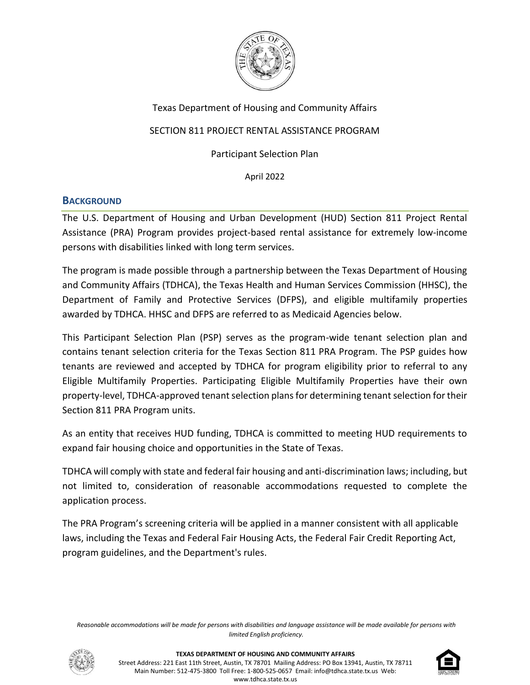

# Texas Department of Housing and Community Affairs

# SECTION 811 PROJECT RENTAL ASSISTANCE PROGRAM

Participant Selection Plan

April 2022

### **BACKGROUND**

The U.S. Department of Housing and Urban Development (HUD) Section 811 Project Rental Assistance (PRA) Program provides project-based rental assistance for extremely low-income persons with disabilities linked with long term services.

The program is made possible through a partnership between the Texas Department of Housing and Community Affairs (TDHCA), the Texas Health and Human Services Commission (HHSC), the Department of Family and Protective Services (DFPS), and eligible multifamily properties awarded by TDHCA. HHSC and DFPS are referred to as Medicaid Agencies below.

This Participant Selection Plan (PSP) serves as the program-wide tenant selection plan and contains tenant selection criteria for the Texas Section 811 PRA Program. The PSP guides how tenants are reviewed and accepted by TDHCA for program eligibility prior to referral to any Eligible Multifamily Properties. Participating Eligible Multifamily Properties have their own property-level, TDHCA-approved tenant selection plans for determining tenant selection for their Section 811 PRA Program units.

As an entity that receives HUD funding, TDHCA is committed to meeting HUD requirements to expand fair housing choice and opportunities in the State of Texas.

TDHCA will comply with state and federal fair housing and anti-discrimination laws; including, but not limited to, consideration of reasonable accommodations requested to complete the application process.

The PRA Program's screening criteria will be applied in a manner consistent with all applicable laws, including the Texas and Federal Fair Housing Acts, the Federal Fair Credit Reporting Act, program guidelines, and the Department's rules.

*Reasonable accommodations will be made for persons with disabilities and language assistance will be made available for persons with limited English proficiency.*



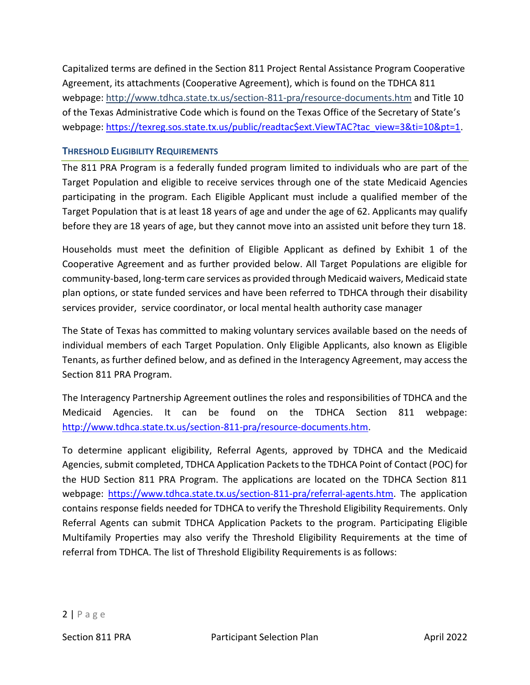Capitalized terms are defined in the Section 811 Project Rental Assistance Program Cooperative Agreement, its attachments (Cooperative Agreement), which is found on the TDHCA 811 webpage:<http://www.tdhca.state.tx.us/section-811-pra/resource-documents.htm> and Title 10 of the Texas Administrative Code which is found on the Texas Office of the Secretary of State's webpage: [https://texreg.sos.state.tx.us/public/readtac\\$ext.ViewTAC?tac\\_view=3&ti=10&pt=1.](https://texreg.sos.state.tx.us/public/readtac$ext.ViewTAC?tac_view=3&ti=10&pt=1)

### **THRESHOLD ELIGIBILITY REQUIREMENTS**

The 811 PRA Program is a federally funded program limited to individuals who are part of the Target Population and eligible to receive services through one of the state Medicaid Agencies participating in the program. Each Eligible Applicant must include a qualified member of the Target Population that is at least 18 years of age and under the age of 62. Applicants may qualify before they are 18 years of age, but they cannot move into an assisted unit before they turn 18.

Households must meet the definition of Eligible Applicant as defined by Exhibit 1 of the Cooperative Agreement and as further provided below. All Target Populations are eligible for community-based, long-term care services as provided through Medicaid waivers, Medicaid state plan options, or state funded services and have been referred to TDHCA through their disability services provider, service coordinator, or local mental health authority case manager

The State of Texas has committed to making voluntary services available based on the needs of individual members of each Target Population. Only Eligible Applicants, also known as Eligible Tenants, as further defined below, and as defined in the Interagency Agreement, may access the Section 811 PRA Program.

The Interagency Partnership Agreement outlines the roles and responsibilities of TDHCA and the Medicaid Agencies. It can be found on the TDHCA Section 811 webpage: [http://www.tdhca.state.tx.us/section-811-pra/resource-documents.htm.](http://www.tdhca.state.tx.us/section-811-pra/resource-documents.htm)

To determine applicant eligibility, Referral Agents, approved by TDHCA and the Medicaid Agencies, submit completed, TDHCA Application Packets to the TDHCA Point of Contact (POC) for the HUD Section 811 PRA Program. The applications are located on the TDHCA Section 811 webpage: [https://www.tdhca.state.tx.us/section-811-pra/referral-agents.htm.](https://www.tdhca.state.tx.us/section-811-pra/referral-agents.htm) The application contains response fields needed for TDHCA to verify the Threshold Eligibility Requirements. Only Referral Agents can submit TDHCA Application Packets to the program. Participating Eligible Multifamily Properties may also verify the Threshold Eligibility Requirements at the time of referral from TDHCA. The list of Threshold Eligibility Requirements is as follows: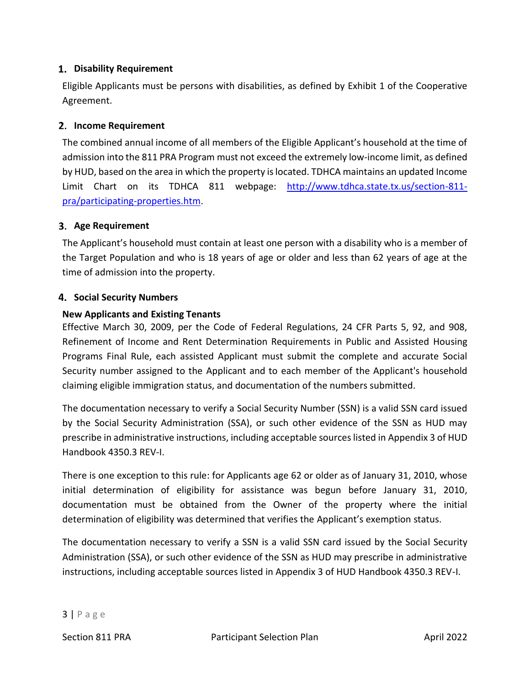### **Disability Requirement**

Eligible Applicants must be persons with disabilities, as defined by Exhibit 1 of the Cooperative Agreement.

### **Income Requirement**

The combined annual income of all members of the Eligible Applicant's household at the time of admission into the 811 PRA Program must not exceed the extremely low-income limit, as defined by HUD, based on the area in which the property is located. TDHCA maintains an updated Income Limit Chart on its TDHCA 811 webpage: [http://www.tdhca.state.tx.us/section-811](http://www.tdhca.state.tx.us/section-811-pra/participating-properties.htm) [pra/participating-properties.htm.](http://www.tdhca.state.tx.us/section-811-pra/participating-properties.htm)

### **Age Requirement**

The Applicant's household must contain at least one person with a disability who is a member of the Target Population and who is 18 years of age or older and less than 62 years of age at the time of admission into the property.

#### **4. Social Security Numbers**

#### **New Applicants and Existing Tenants**

Effective March 30, 2009, per the Code of Federal Regulations, 24 CFR Parts 5, 92, and 908, Refinement of Income and Rent Determination Requirements in Public and Assisted Housing Programs Final Rule, each assisted Applicant must submit the complete and accurate Social Security number assigned to the Applicant and to each member of the Applicant's household claiming eligible immigration status, and documentation of the numbers submitted.

The documentation necessary to verify a Social Security Number (SSN) is a valid SSN card issued by the Social Security Administration (SSA), or such other evidence of the SSN as HUD may prescribe in administrative instructions, including acceptable sources listed in Appendix 3 of HUD Handbook 4350.3 REV-I.

There is one exception to this rule: for Applicants age 62 or older as of January 31, 2010, whose initial determination of eligibility for assistance was begun before January 31, 2010, documentation must be obtained from the Owner of the property where the initial determination of eligibility was determined that verifies the Applicant's exemption status.

The documentation necessary to verify a SSN is a valid SSN card issued by the Social Security Administration (SSA), or such other evidence of the SSN as HUD may prescribe in administrative instructions, including acceptable sources listed in Appendix 3 of HUD Handbook 4350.3 REV-I.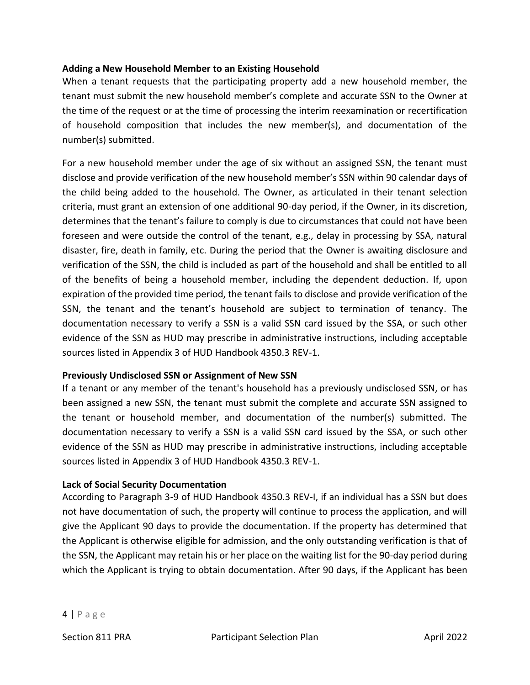#### **Adding a New Household Member to an Existing Household**

When a tenant requests that the participating property add a new household member, the tenant must submit the new household member's complete and accurate SSN to the Owner at the time of the request or at the time of processing the interim reexamination or recertification of household composition that includes the new member(s), and documentation of the number(s) submitted.

For a new household member under the age of six without an assigned SSN, the tenant must disclose and provide verification of the new household member's SSN within 90 calendar days of the child being added to the household. The Owner, as articulated in their tenant selection criteria, must grant an extension of one additional 90-day period, if the Owner, in its discretion, determines that the tenant's failure to comply is due to circumstances that could not have been foreseen and were outside the control of the tenant, e.g., delay in processing by SSA, natural disaster, fire, death in family, etc. During the period that the Owner is awaiting disclosure and verification of the SSN, the child is included as part of the household and shall be entitled to all of the benefits of being a household member, including the dependent deduction. If, upon expiration of the provided time period, the tenant fails to disclose and provide verification of the SSN, the tenant and the tenant's household are subject to termination of tenancy. The documentation necessary to verify a SSN is a valid SSN card issued by the SSA, or such other evidence of the SSN as HUD may prescribe in administrative instructions, including acceptable sources listed in Appendix 3 of HUD Handbook 4350.3 REV-1.

### **Previously Undisclosed SSN or Assignment of New SSN**

If a tenant or any member of the tenant's household has a previously undisclosed SSN, or has been assigned a new SSN, the tenant must submit the complete and accurate SSN assigned to the tenant or household member, and documentation of the number(s) submitted. The documentation necessary to verify a SSN is a valid SSN card issued by the SSA, or such other evidence of the SSN as HUD may prescribe in administrative instructions, including acceptable sources listed in Appendix 3 of HUD Handbook 4350.3 REV-1.

#### **Lack of Social Security Documentation**

According to Paragraph 3-9 of HUD Handbook 4350.3 REV-I, if an individual has a SSN but does not have documentation of such, the property will continue to process the application, and will give the Applicant 90 days to provide the documentation. If the property has determined that the Applicant is otherwise eligible for admission, and the only outstanding verification is that of the SSN, the Applicant may retain his or her place on the waiting list for the 90-day period during which the Applicant is trying to obtain documentation. After 90 days, if the Applicant has been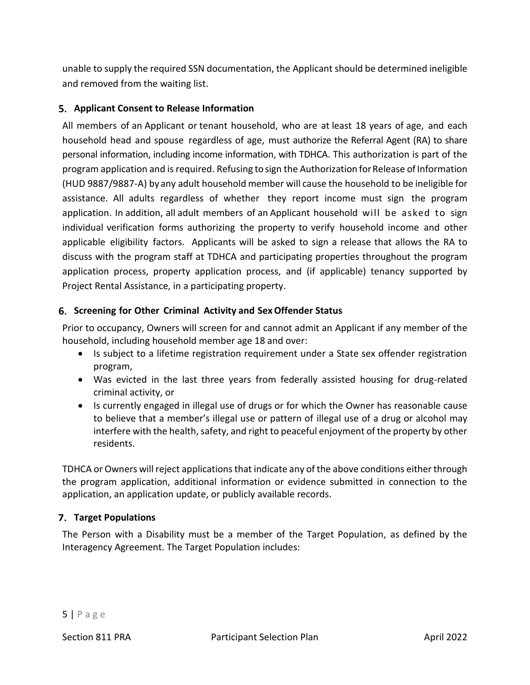unable to supply the required SSN documentation, the Applicant should be determined ineligible and removed from the waiting list.

### **Applicant Consent to Release Information**

All members of an Applicant or tenant household, who are at least 18 years of age, and each household head and spouse regardless of age, must authorize the Referral Agent (RA) to share personal information, including income information, with TDHCA. This authorization is part of the program application and is required. Refusing to sign the Authorization for Release of Information (HUD 9887/9887-A) by any adult household member will cause the household to be ineligible for assistance. All adults regardless of whether they report income must sign the program application. In addition, all adult members of an Applicant household will be asked to sign individual verification forms authorizing the property to verify household income and other applicable eligibility factors. Applicants will be asked to sign a release that allows the RA to discuss with the program staff at TDHCA and participating properties throughout the program application process, property application process, and (if applicable) tenancy supported by Project Rental Assistance, in a participating property.

### **Screening for Other Criminal Activity and SexOffender Status**

Prior to occupancy, Owners will screen for and cannot admit an Applicant if any member of the household, including household member age 18 and over:

- Is subject to a lifetime registration requirement under a State sex offender registration program,
- Was evicted in the last three years from federally assisted housing for drug-related criminal activity, or
- Is currently engaged in illegal use of drugs or for which the Owner has reasonable cause to believe that a member's illegal use or pattern of illegal use of a drug or alcohol may interfere with the health, safety, and right to peaceful enjoyment of the property by other residents.

TDHCA or Owners will reject applications that indicate any of the above conditions either through the program application, additional information or evidence submitted in connection to the application, an application update, or publicly available records.

### **Target Populations**

The Person with a Disability must be a member of the Target Population, as defined by the Interagency Agreement. The Target Population includes: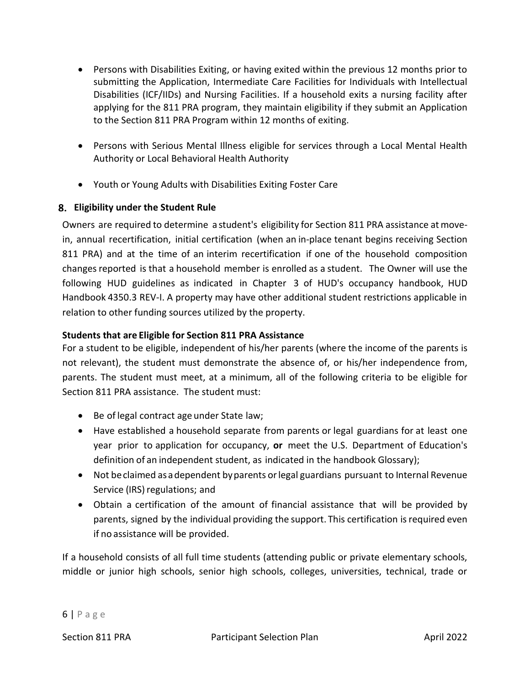- Persons with Disabilities Exiting, or having exited within the previous 12 months prior to submitting the Application, Intermediate Care Facilities for Individuals with Intellectual Disabilities (ICF/IIDs) and Nursing Facilities. If a household exits a nursing facility after applying for the 811 PRA program, they maintain eligibility if they submit an Application to the Section 811 PRA Program within 12 months of exiting.
- Persons with Serious Mental Illness eligible for services through a Local Mental Health Authority or Local Behavioral Health Authority
- Youth or Young Adults with Disabilities Exiting Foster Care

# **Eligibility under the Student Rule**

Owners are required to determine a student's eligibility for Section 811 PRA assistance atmovein, annual recertification, initial certification (when an in-place tenant begins receiving Section 811 PRA) and at the time of an interim recertification if one of the household composition changes reported is that a household member is enrolled as a student. The Owner will use the following HUD guidelines as indicated in Chapter 3 of HUD's occupancy handbook, HUD Handbook 4350.3 REV-I. A property may have other additional student restrictions applicable in relation to other funding sources utilized by the property.

# **Students that are Eligible for Section 811 PRA Assistance**

For a student to be eligible, independent of his/her parents (where the income of the parents is not relevant), the student must demonstrate the absence of, or his/her independence from, parents. The student must meet, at a minimum, all of the following criteria to be eligible for Section 811 PRA assistance. The student must:

- Be of legal contract age under State law;
- Have established a household separate from parents or legal guardians for at least one year prior to application for occupancy, **or** meet the U.S. Department of Education's definition of an independent student, as indicated in the handbook Glossary);
- Not beclaimed asadependent byparents orlegal guardians pursuant to Internal Revenue Service (IRS) regulations; and
- Obtain a certification of the amount of financial assistance that will be provided by parents, signed by the individual providing the support. This certification is required even if no assistance will be provided.

If a household consists of all full time students (attending public or private elementary schools, middle or junior high schools, senior high schools, colleges, universities, technical, trade or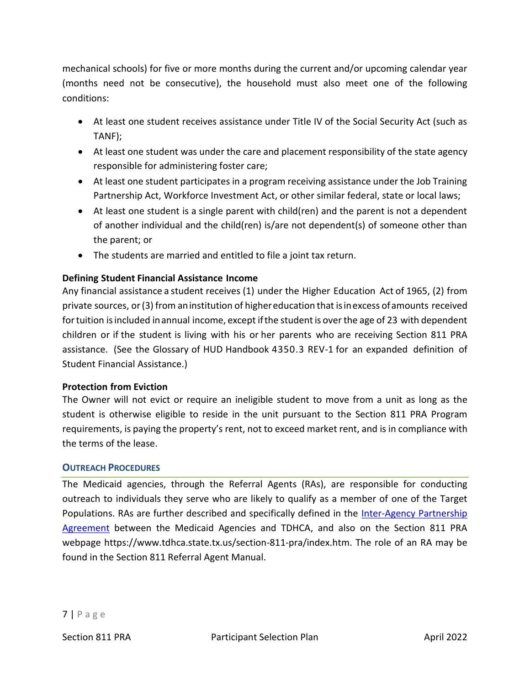mechanical schools) for five or more months during the current and/or upcoming calendar year (months need not be consecutive), the household must also meet one of the following conditions:

- At least one student receives assistance under Title IV of the Social Security Act (such as TANF);
- At least one student was under the care and placement responsibility of the state agency responsible for administering foster care;
- At least one student participates in a program receiving assistance under the Job Training Partnership Act, Workforce Investment Act, or other similar federal, state or local laws;
- At least one student is a single parent with child(ren) and the parent is not a dependent of another individual and the child(ren) is/are not dependent(s) of someone other than the parent; or
- The students are married and entitled to file a joint tax return.

# **Defining Student Financial Assistance Income**

Any financial assistance a student receives (1) under the Higher Education Act of 1965, (2) from private sources, or(3) from aninstitution of highereducation that isinexcess ofamounts received for tuition is included in annual income, except if the student is over the age of 23 with dependent children or if the student is living with his or her parents who are receiving Section 811 PRA assistance. (See the Glossary of HUD Handbook 4350.3 REV-1 for an expanded definition of Student Financial Assistance.)

### **Protection from Eviction**

The Owner will not evict or require an ineligible student to move from a unit as long as the student is otherwise eligible to reside in the unit pursuant to the Section 811 PRA Program requirements, is paying the property's rent, not to exceed market rent, and is in compliance with the terms of the lease.

#### **OUTREACH PROCEDURES**

The Medicaid agencies, through the Referral Agents (RAs), are responsible for conducting outreach to individuals they serve who are likely to qualify as a member of one of the Target Populations. RAs are further described and specifically defined in the [Inter-Agency Partnership](http://www.tdhca.state.tx.us/section-811-pra/docs/CoopAgrmnt-Ex3-InterAgencyAgreement.pdf)  [Agreement](http://www.tdhca.state.tx.us/section-811-pra/docs/CoopAgrmnt-Ex3-InterAgencyAgreement.pdf) between the Medicaid Agencies and TDHCA, and also on the Section 811 PRA webpage https://www.tdhca.state.tx.us/section-811-pra/index.htm. The role of an RA may be found in the Section 811 Referral Agent Manual.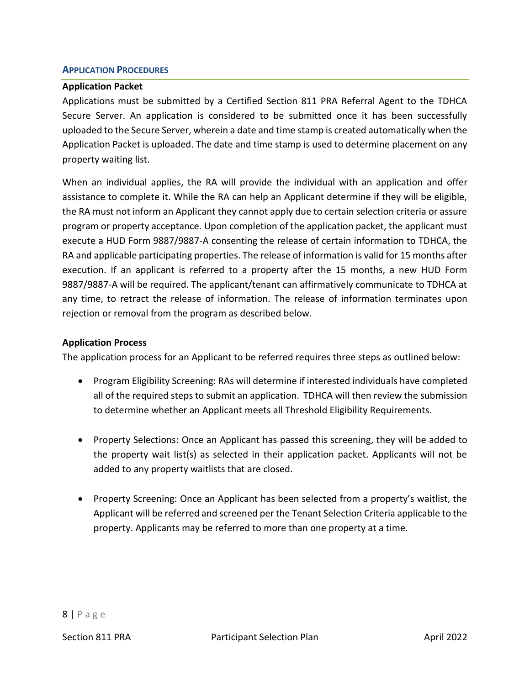#### **APPLICATION PROCEDURES**

#### **Application Packet**

Applications must be submitted by a Certified Section 811 PRA Referral Agent to the TDHCA Secure Server. An application is considered to be submitted once it has been successfully uploaded to the Secure Server, wherein a date and time stamp is created automatically when the Application Packet is uploaded. The date and time stamp is used to determine placement on any property waiting list.

When an individual applies, the RA will provide the individual with an application and offer assistance to complete it. While the RA can help an Applicant determine if they will be eligible, the RA must not inform an Applicant they cannot apply due to certain selection criteria or assure program or property acceptance. Upon completion of the application packet, the applicant must execute a HUD Form 9887/9887-A consenting the release of certain information to TDHCA, the RA and applicable participating properties. The release of information is valid for 15 months after execution. If an applicant is referred to a property after the 15 months, a new HUD Form 9887/9887-A will be required. The applicant/tenant can affirmatively communicate to TDHCA at any time, to retract the release of information. The release of information terminates upon rejection or removal from the program as described below.

#### **Application Process**

The application process for an Applicant to be referred requires three steps as outlined below:

- Program Eligibility Screening: RAs will determine if interested individuals have completed all of the required steps to submit an application. TDHCA will then review the submission to determine whether an Applicant meets all Threshold Eligibility Requirements.
- Property Selections: Once an Applicant has passed this screening, they will be added to the property wait list(s) as selected in their application packet. Applicants will not be added to any property waitlists that are closed.
- Property Screening: Once an Applicant has been selected from a property's waitlist, the Applicant will be referred and screened per the Tenant Selection Criteria applicable to the property. Applicants may be referred to more than one property at a time.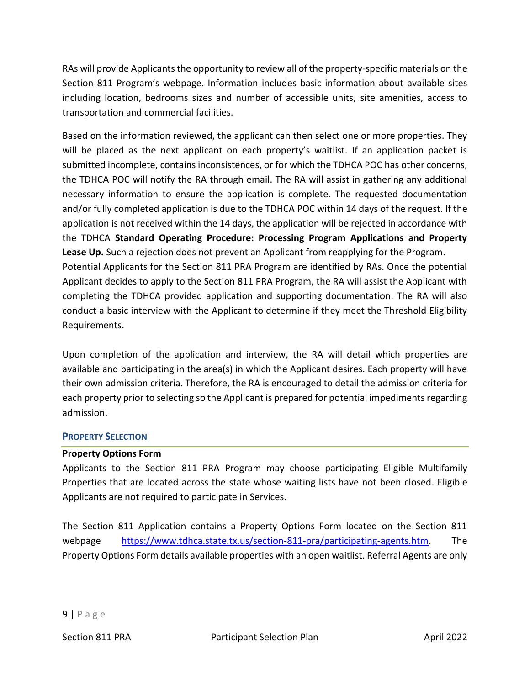RAs will provide Applicants the opportunity to review all of the property-specific materials on the Section 811 Program's webpage. Information includes basic information about available sites including location, bedrooms sizes and number of accessible units, site amenities, access to transportation and commercial facilities.

Based on the information reviewed, the applicant can then select one or more properties. They will be placed as the next applicant on each property's waitlist. If an application packet is submitted incomplete, contains inconsistences, or for which the TDHCA POC has other concerns, the TDHCA POC will notify the RA through email. The RA will assist in gathering any additional necessary information to ensure the application is complete. The requested documentation and/or fully completed application is due to the TDHCA POC within 14 days of the request. If the application is not received within the 14 days, the application will be rejected in accordance with the TDHCA **Standard Operating Procedure: Processing Program Applications and Property Lease Up.** Such a rejection does not prevent an Applicant from reapplying for the Program. Potential Applicants for the Section 811 PRA Program are identified by RAs. Once the potential Applicant decides to apply to the Section 811 PRA Program, the RA will assist the Applicant with completing the TDHCA provided application and supporting documentation. The RA will also conduct a basic interview with the Applicant to determine if they meet the Threshold Eligibility

Upon completion of the application and interview, the RA will detail which properties are available and participating in the area(s) in which the Applicant desires. Each property will have their own admission criteria. Therefore, the RA is encouraged to detail the admission criteria for each property prior to selecting so the Applicant is prepared for potential impediments regarding

### **PROPERTY SELECTION**

admission.

Requirements.

#### **Property Options Form**

Applicants to the Section 811 PRA Program may choose participating Eligible Multifamily Properties that are located across the state whose waiting lists have not been closed. Eligible Applicants are not required to participate in Services.

The Section 811 Application contains a Property Options Form located on the Section 811 webpage [https://www.tdhca.state.tx.us/section-811-pra/participating-agents.htm.](https://www.tdhca.state.tx.us/section-811-pra/participating-agents.htm) The Property Options Form details available properties with an open waitlist. Referral Agents are only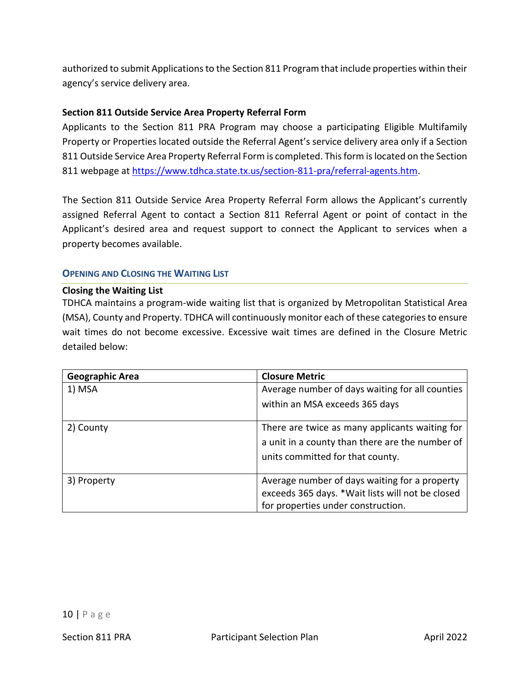authorized to submit Applications to the Section 811 Program that include properties within their agency's service delivery area.

### **Section 811 Outside Service Area Property Referral Form**

Applicants to the Section 811 PRA Program may choose a participating Eligible Multifamily Property or Properties located outside the Referral Agent's service delivery area only if a Section 811 Outside Service Area Property Referral Form is completed. This form is located on the Section 811 webpage a[t https://www.tdhca.state.tx.us/section-811-pra/referral-agents.htm.](https://www.tdhca.state.tx.us/section-811-pra/referral-agents.htm)

The Section 811 Outside Service Area Property Referral Form allows the Applicant's currently assigned Referral Agent to contact a Section 811 Referral Agent or point of contact in the Applicant's desired area and request support to connect the Applicant to services when a property becomes available.

### **OPENING AND CLOSING THE WAITING LIST**

#### **Closing the Waiting List**

TDHCA maintains a program-wide waiting list that is organized by Metropolitan Statistical Area (MSA), County and Property. TDHCA will continuously monitor each of these categories to ensure wait times do not become excessive. Excessive wait times are defined in the Closure Metric detailed below:

| <b>Geographic Area</b> | <b>Closure Metric</b>                            |
|------------------------|--------------------------------------------------|
| 1) MSA                 | Average number of days waiting for all counties  |
|                        | within an MSA exceeds 365 days                   |
| 2) County              | There are twice as many applicants waiting for   |
|                        | a unit in a county than there are the number of  |
|                        | units committed for that county.                 |
| 3) Property            | Average number of days waiting for a property    |
|                        | exceeds 365 days. *Wait lists will not be closed |
|                        | for properties under construction.               |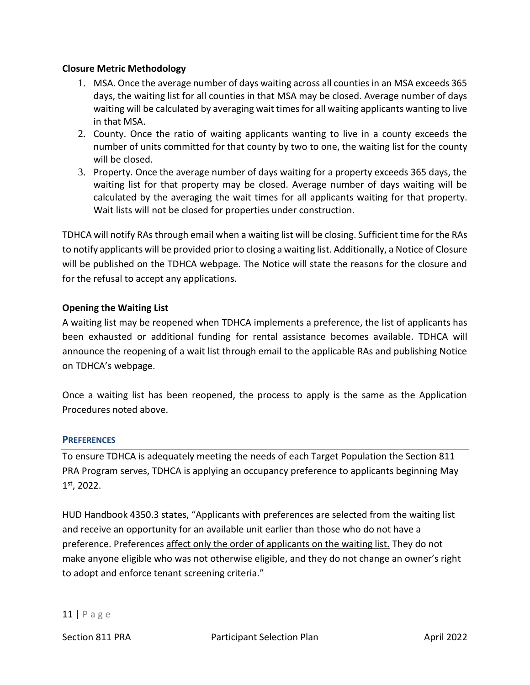#### **Closure Metric Methodology**

- 1. MSA. Once the average number of days waiting across all counties in an MSA exceeds 365 days, the waiting list for all counties in that MSA may be closed. Average number of days waiting will be calculated by averaging wait times for all waiting applicants wanting to live in that MSA.
- 2. County. Once the ratio of waiting applicants wanting to live in a county exceeds the number of units committed for that county by two to one, the waiting list for the county will be closed.
- 3. Property. Once the average number of days waiting for a property exceeds 365 days, the waiting list for that property may be closed. Average number of days waiting will be calculated by the averaging the wait times for all applicants waiting for that property. Wait lists will not be closed for properties under construction.

TDHCA will notify RAs through email when a waiting list will be closing. Sufficient time for the RAs to notify applicants will be provided prior to closing a waiting list. Additionally, a Notice of Closure will be published on the TDHCA webpage. The Notice will state the reasons for the closure and for the refusal to accept any applications.

#### **Opening the Waiting List**

A waiting list may be reopened when TDHCA implements a preference, the list of applicants has been exhausted or additional funding for rental assistance becomes available. TDHCA will announce the reopening of a wait list through email to the applicable RAs and publishing Notice on TDHCA's webpage.

Once a waiting list has been reopened, the process to apply is the same as the Application Procedures noted above.

#### **PREFERENCES**

To ensure TDHCA is adequately meeting the needs of each Target Population the Section 811 PRA Program serves, TDHCA is applying an occupancy preference to applicants beginning May 1 st, 2022.

HUD Handbook 4350.3 states, "Applicants with preferences are selected from the waiting list and receive an opportunity for an available unit earlier than those who do not have a preference. Preferences affect only the order of applicants on the waiting list. They do not make anyone eligible who was not otherwise eligible, and they do not change an owner's right to adopt and enforce tenant screening criteria."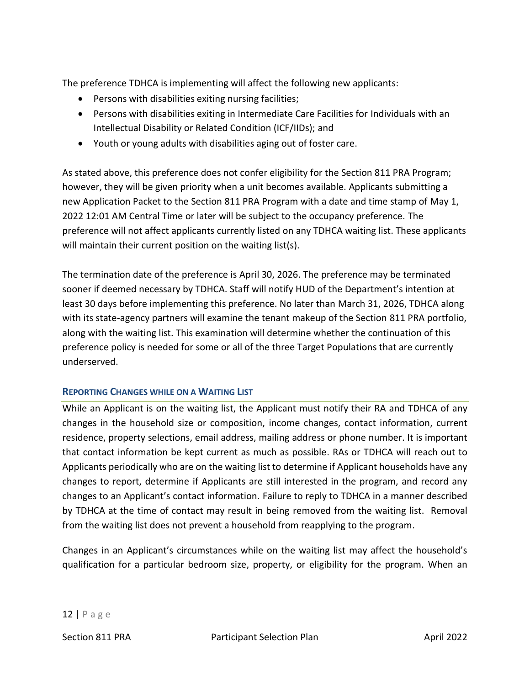The preference TDHCA is implementing will affect the following new applicants:

- Persons with disabilities exiting nursing facilities;
- Persons with disabilities exiting in Intermediate Care Facilities for Individuals with an Intellectual Disability or Related Condition (ICF/IIDs); and
- Youth or young adults with disabilities aging out of foster care.

As stated above, this preference does not confer eligibility for the Section 811 PRA Program; however, they will be given priority when a unit becomes available. Applicants submitting a new Application Packet to the Section 811 PRA Program with a date and time stamp of May 1, 2022 12:01 AM Central Time or later will be subject to the occupancy preference. The preference will not affect applicants currently listed on any TDHCA waiting list. These applicants will maintain their current position on the waiting list(s).

The termination date of the preference is April 30, 2026. The preference may be terminated sooner if deemed necessary by TDHCA. Staff will notify HUD of the Department's intention at least 30 days before implementing this preference. No later than March 31, 2026, TDHCA along with its state-agency partners will examine the tenant makeup of the Section 811 PRA portfolio, along with the waiting list. This examination will determine whether the continuation of this preference policy is needed for some or all of the three Target Populations that are currently underserved.

### **REPORTING CHANGES WHILE ON A WAITING LIST**

While an Applicant is on the waiting list, the Applicant must notify their RA and TDHCA of any changes in the household size or composition, income changes, contact information, current residence, property selections, email address, mailing address or phone number. It is important that contact information be kept current as much as possible. RAs or TDHCA will reach out to Applicants periodically who are on the waiting list to determine if Applicant households have any changes to report, determine if Applicants are still interested in the program, and record any changes to an Applicant's contact information. Failure to reply to TDHCA in a manner described by TDHCA at the time of contact may result in being removed from the waiting list. Removal from the waiting list does not prevent a household from reapplying to the program.

Changes in an Applicant's circumstances while on the waiting list may affect the household's qualification for a particular bedroom size, property, or eligibility for the program. When an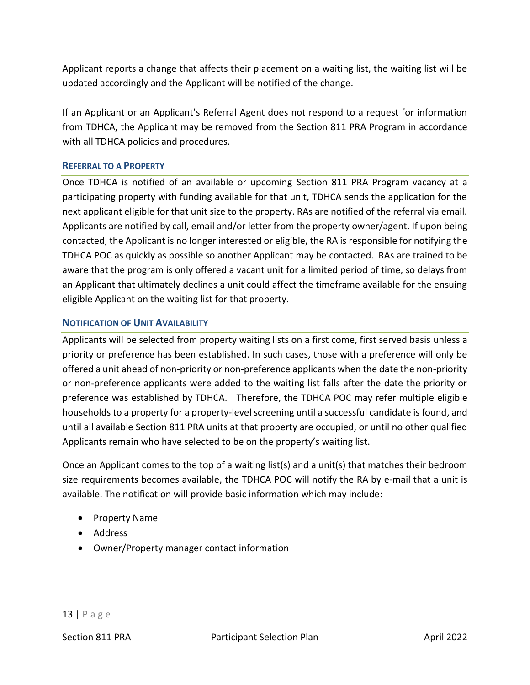Applicant reports a change that affects their placement on a waiting list, the waiting list will be updated accordingly and the Applicant will be notified of the change.

If an Applicant or an Applicant's Referral Agent does not respond to a request for information from TDHCA, the Applicant may be removed from the Section 811 PRA Program in accordance with all TDHCA policies and procedures.

#### **REFERRAL TO A PROPERTY**

Once TDHCA is notified of an available or upcoming Section 811 PRA Program vacancy at a participating property with funding available for that unit, TDHCA sends the application for the next applicant eligible for that unit size to the property. RAs are notified of the referral via email. Applicants are notified by call, email and/or letter from the property owner/agent. If upon being contacted, the Applicant is no longer interested or eligible, the RA is responsible for notifying the TDHCA POC as quickly as possible so another Applicant may be contacted. RAs are trained to be aware that the program is only offered a vacant unit for a limited period of time, so delays from an Applicant that ultimately declines a unit could affect the timeframe available for the ensuing eligible Applicant on the waiting list for that property.

#### **NOTIFICATION OF UNIT AVAILABILITY**

Applicants will be selected from property waiting lists on a first come, first served basis unless a priority or preference has been established. In such cases, those with a preference will only be offered a unit ahead of non-priority or non-preference applicants when the date the non-priority or non-preference applicants were added to the waiting list falls after the date the priority or preference was established by TDHCA. Therefore, the TDHCA POC may refer multiple eligible households to a property for a property-level screening until a successful candidate is found, and until all available Section 811 PRA units at that property are occupied, or until no other qualified Applicants remain who have selected to be on the property's waiting list.

Once an Applicant comes to the top of a waiting list(s) and a unit(s) that matches their bedroom size requirements becomes available, the TDHCA POC will notify the RA by e-mail that a unit is available. The notification will provide basic information which may include:

- Property Name
- Address
- Owner/Property manager contact information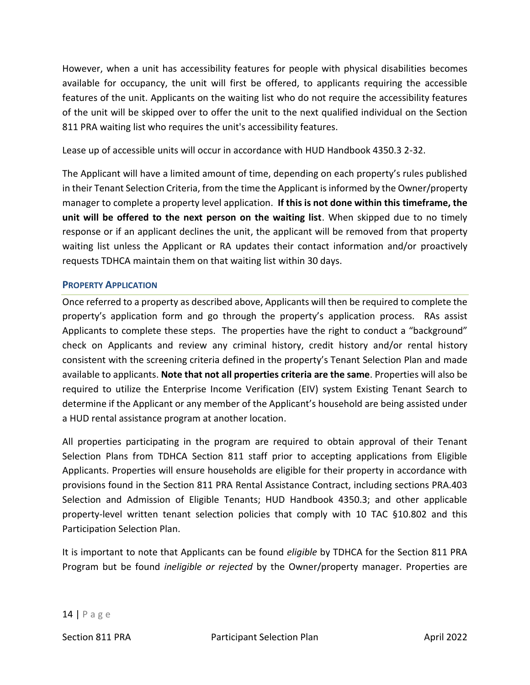However, when a unit has accessibility features for people with physical disabilities becomes available for occupancy, the unit will first be offered, to applicants requiring the accessible features of the unit. Applicants on the waiting list who do not require the accessibility features of the unit will be skipped over to offer the unit to the next qualified individual on the Section 811 PRA waiting list who requires the unit's accessibility features.

Lease up of accessible units will occur in accordance with HUD Handbook 4350.3 2-32.

The Applicant will have a limited amount of time, depending on each property's rules published in their Tenant Selection Criteria, from the time the Applicant is informed by the Owner/property manager to complete a property level application. **If this is not done within this timeframe, the unit will be offered to the next person on the waiting list**. When skipped due to no timely response or if an applicant declines the unit, the applicant will be removed from that property waiting list unless the Applicant or RA updates their contact information and/or proactively requests TDHCA maintain them on that waiting list within 30 days.

### **PROPERTY APPLICATION**

Once referred to a property as described above, Applicants will then be required to complete the property's application form and go through the property's application process. RAs assist Applicants to complete these steps. The properties have the right to conduct a "background" check on Applicants and review any criminal history, credit history and/or rental history consistent with the screening criteria defined in the property's Tenant Selection Plan and made available to applicants. **Note that not all properties criteria are the same**. Properties will also be required to utilize the Enterprise Income Verification (EIV) system Existing Tenant Search to determine if the Applicant or any member of the Applicant's household are being assisted under a HUD rental assistance program at another location.

All properties participating in the program are required to obtain approval of their Tenant Selection Plans from TDHCA Section 811 staff prior to accepting applications from Eligible Applicants. Properties will ensure households are eligible for their property in accordance with provisions found in the Section 811 PRA Rental Assistance Contract, including sections PRA.403 Selection and Admission of Eligible Tenants; HUD Handbook 4350.3; and other applicable property-level written tenant selection policies that comply with 10 TAC §10.802 and this Participation Selection Plan.

It is important to note that Applicants can be found *eligible* by TDHCA for the Section 811 PRA Program but be found *ineligible or rejected* by the Owner/property manager. Properties are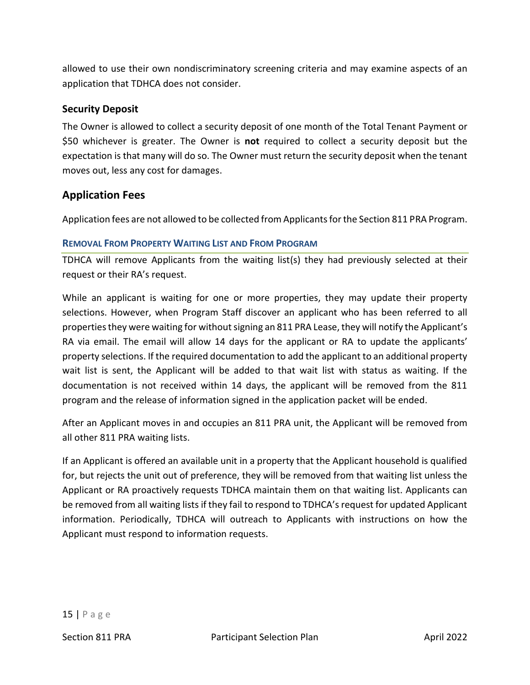allowed to use their own nondiscriminatory screening criteria and may examine aspects of an application that TDHCA does not consider.

### **Security Deposit**

The Owner is allowed to collect a security deposit of one month of the Total Tenant Payment or \$50 whichever is greater. The Owner is **not** required to collect a security deposit but the expectation is that many will do so. The Owner must return the security deposit when the tenant moves out, less any cost for damages.

# **Application Fees**

Application fees are not allowed to be collected from Applicants for the Section 811 PRA Program.

#### **REMOVAL FROM PROPERTY WAITING LIST AND FROM PROGRAM**

TDHCA will remove Applicants from the waiting list(s) they had previously selected at their request or their RA's request.

While an applicant is waiting for one or more properties, they may update their property selections. However, when Program Staff discover an applicant who has been referred to all properties they were waiting for without signing an 811 PRA Lease, they will notify the Applicant's RA via email. The email will allow 14 days for the applicant or RA to update the applicants' property selections. If the required documentation to add the applicant to an additional property wait list is sent, the Applicant will be added to that wait list with status as waiting. If the documentation is not received within 14 days, the applicant will be removed from the 811 program and the release of information signed in the application packet will be ended.

After an Applicant moves in and occupies an 811 PRA unit, the Applicant will be removed from all other 811 PRA waiting lists.

If an Applicant is offered an available unit in a property that the Applicant household is qualified for, but rejects the unit out of preference, they will be removed from that waiting list unless the Applicant or RA proactively requests TDHCA maintain them on that waiting list. Applicants can be removed from all waiting lists if they fail to respond to TDHCA's request for updated Applicant information. Periodically, TDHCA will outreach to Applicants with instructions on how the Applicant must respond to information requests.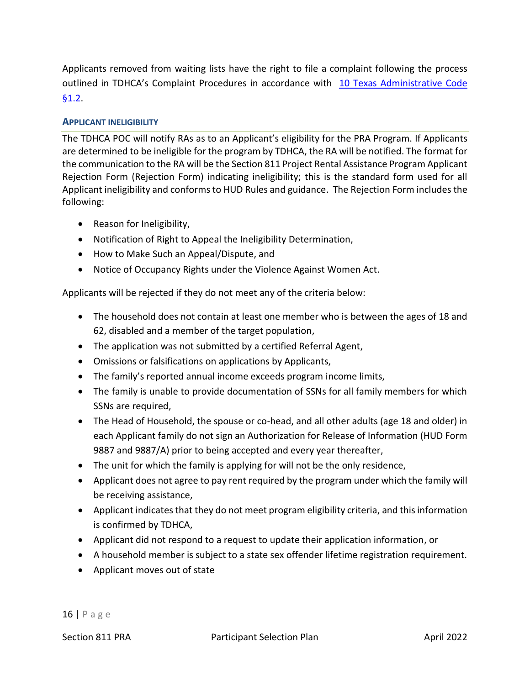Applicants removed from waiting lists have the right to file a complaint following the process outlined in TDHCA's Complaint Procedures in accordance with [10 Texas Administrative Code](https://texreg.sos.state.tx.us/public/readtac$ext.TacPage?sl=R&app=9&p_dir=&p_rloc=&p_tloc=&p_ploc=&pg=1&p_tac=&ti=10&pt=1&ch=1&rl=2)  [§1.2.](https://texreg.sos.state.tx.us/public/readtac$ext.TacPage?sl=R&app=9&p_dir=&p_rloc=&p_tloc=&p_ploc=&pg=1&p_tac=&ti=10&pt=1&ch=1&rl=2)

### **APPLICANT INELIGIBILITY**

The TDHCA POC will notify RAs as to an Applicant's eligibility for the PRA Program. If Applicants are determined to be ineligible for the program by TDHCA, the RA will be notified. The format for the communication to the RA will be the Section 811 Project Rental Assistance Program Applicant Rejection Form (Rejection Form) indicating ineligibility; this is the standard form used for all Applicant ineligibility and conforms to HUD Rules and guidance. The Rejection Form includes the following:

- Reason for Ineligibility,
- Notification of Right to Appeal the Ineligibility Determination,
- How to Make Such an Appeal/Dispute, and
- Notice of Occupancy Rights under the Violence Against Women Act.

Applicants will be rejected if they do not meet any of the criteria below:

- The household does not contain at least one member who is between the ages of 18 and 62, disabled and a member of the target population,
- The application was not submitted by a certified Referral Agent,
- Omissions or falsifications on applications by Applicants,
- The family's reported annual income exceeds program income limits,
- The family is unable to provide documentation of SSNs for all family members for which SSNs are required,
- The Head of Household, the spouse or co-head, and all other adults (age 18 and older) in each Applicant family do not sign an Authorization for Release of Information (HUD Form 9887 and 9887/A) prior to being accepted and every year thereafter,
- The unit for which the family is applying for will not be the only residence,
- Applicant does not agree to pay rent required by the program under which the family will be receiving assistance,
- Applicant indicates that they do not meet program eligibility criteria, and this information is confirmed by TDHCA,
- Applicant did not respond to a request to update their application information, or
- A household member is subject to a state sex offender lifetime registration requirement.
- Applicant moves out of state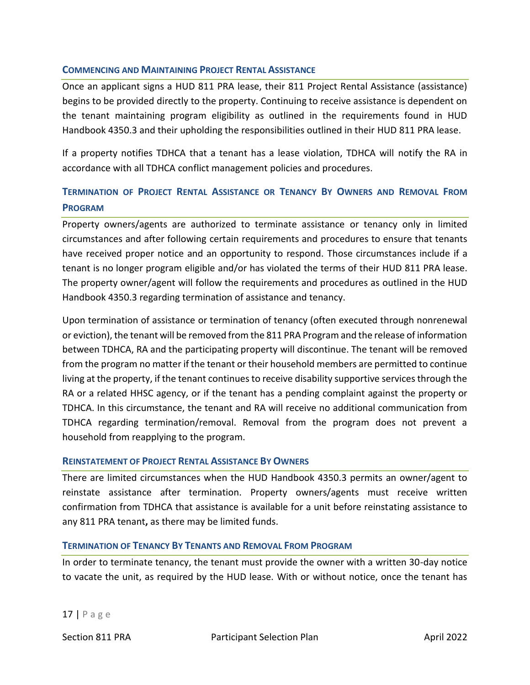#### **COMMENCING AND MAINTAINING PROJECT RENTAL ASSISTANCE**

Once an applicant signs a HUD 811 PRA lease, their 811 Project Rental Assistance (assistance) begins to be provided directly to the property. Continuing to receive assistance is dependent on the tenant maintaining program eligibility as outlined in the requirements found in HUD Handbook 4350.3 and their upholding the responsibilities outlined in their HUD 811 PRA lease.

If a property notifies TDHCA that a tenant has a lease violation, TDHCA will notify the RA in accordance with all TDHCA conflict management policies and procedures.

# **TERMINATION OF PROJECT RENTAL ASSISTANCE OR TENANCY BY OWNERS AND REMOVAL FROM PROGRAM**

Property owners/agents are authorized to terminate assistance or tenancy only in limited circumstances and after following certain requirements and procedures to ensure that tenants have received proper notice and an opportunity to respond. Those circumstances include if a tenant is no longer program eligible and/or has violated the terms of their HUD 811 PRA lease. The property owner/agent will follow the requirements and procedures as outlined in the HUD Handbook 4350.3 regarding termination of assistance and tenancy.

Upon termination of assistance or termination of tenancy (often executed through nonrenewal or eviction), the tenant will be removed from the 811 PRA Program and the release of information between TDHCA, RA and the participating property will discontinue. The tenant will be removed from the program no matter if the tenant or their household members are permitted to continue living at the property, if the tenant continues to receive disability supportive services through the RA or a related HHSC agency, or if the tenant has a pending complaint against the property or TDHCA. In this circumstance, the tenant and RA will receive no additional communication from TDHCA regarding termination/removal. Removal from the program does not prevent a household from reapplying to the program.

#### **REINSTATEMENT OF PROJECT RENTAL ASSISTANCE BY OWNERS**

There are limited circumstances when the HUD Handbook 4350.3 permits an owner/agent to reinstate assistance after termination. Property owners/agents must receive written confirmation from TDHCA that assistance is available for a unit before reinstating assistance to any 811 PRA tenant**,** as there may be limited funds.

#### **TERMINATION OF TENANCY BY TENANTS AND REMOVAL FROM PROGRAM**

In order to terminate tenancy, the tenant must provide the owner with a written 30-day notice to vacate the unit, as required by the HUD lease. With or without notice, once the tenant has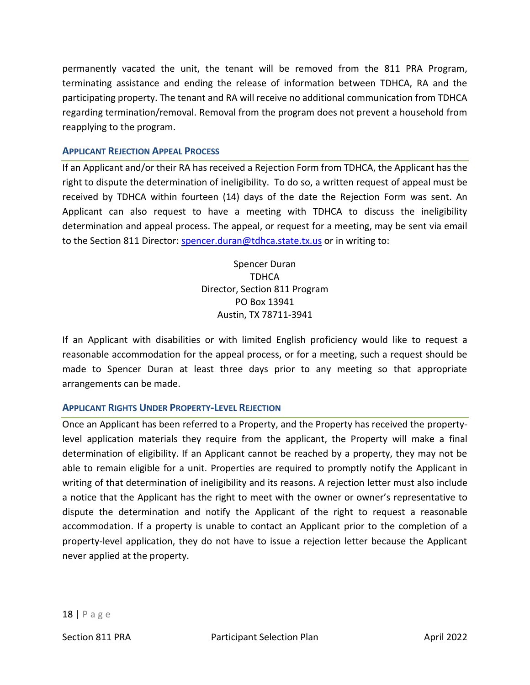permanently vacated the unit, the tenant will be removed from the 811 PRA Program, terminating assistance and ending the release of information between TDHCA, RA and the participating property. The tenant and RA will receive no additional communication from TDHCA regarding termination/removal. Removal from the program does not prevent a household from reapplying to the program.

#### **APPLICANT REJECTION APPEAL PROCESS**

If an Applicant and/or their RA has received a Rejection Form from TDHCA, the Applicant has the right to dispute the determination of ineligibility. To do so, a written request of appeal must be received by TDHCA within fourteen (14) days of the date the Rejection Form was sent. An Applicant can also request to have a meeting with TDHCA to discuss the ineligibility determination and appeal process. The appeal, or request for a meeting, may be sent via email to the Section 811 Director: [spencer.duran@tdhca.state.tx.us](mailto:spencer.duran@tdhca.state.tx.us) or in writing to:

> Spencer Duran TDHCA Director, Section 811 Program PO Box 13941 Austin, TX 78711-3941

If an Applicant with disabilities or with limited English proficiency would like to request a reasonable accommodation for the appeal process, or for a meeting, such a request should be made to Spencer Duran at least three days prior to any meeting so that appropriate arrangements can be made.

### **APPLICANT RIGHTS UNDER PROPERTY-LEVEL REJECTION**

Once an Applicant has been referred to a Property, and the Property has received the propertylevel application materials they require from the applicant, the Property will make a final determination of eligibility. If an Applicant cannot be reached by a property, they may not be able to remain eligible for a unit. Properties are required to promptly notify the Applicant in writing of that determination of ineligibility and its reasons. A rejection letter must also include a notice that the Applicant has the right to meet with the owner or owner's representative to dispute the determination and notify the Applicant of the right to request a reasonable accommodation. If a property is unable to contact an Applicant prior to the completion of a property-level application, they do not have to issue a rejection letter because the Applicant never applied at the property.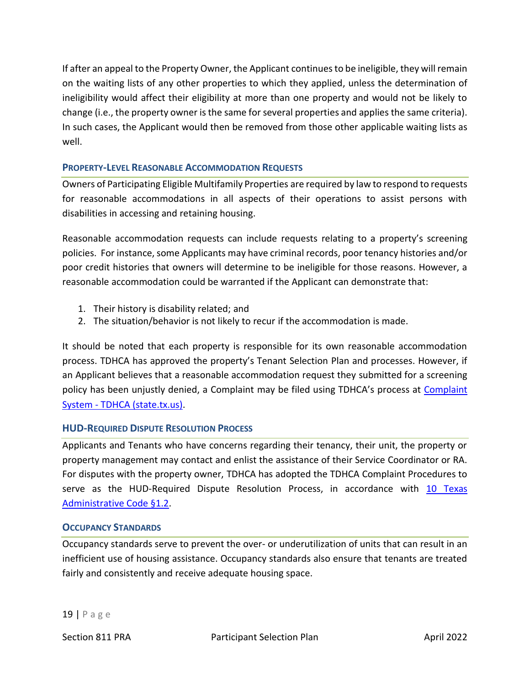If after an appeal to the Property Owner, the Applicant continues to be ineligible, they will remain on the waiting lists of any other properties to which they applied, unless the determination of ineligibility would affect their eligibility at more than one property and would not be likely to change (i.e., the property owner is the same for several properties and applies the same criteria). In such cases, the Applicant would then be removed from those other applicable waiting lists as well.

### **PROPERTY-LEVEL REASONABLE ACCOMMODATION REQUESTS**

Owners of Participating Eligible Multifamily Properties are required by law to respond to requests for reasonable accommodations in all aspects of their operations to assist persons with disabilities in accessing and retaining housing.

Reasonable accommodation requests can include requests relating to a property's screening policies. For instance, some Applicants may have criminal records, poor tenancy histories and/or poor credit histories that owners will determine to be ineligible for those reasons. However, a reasonable accommodation could be warranted if the Applicant can demonstrate that:

- 1. Their history is disability related; and
- 2. The situation/behavior is not likely to recur if the accommodation is made.

It should be noted that each property is responsible for its own reasonable accommodation process. TDHCA has approved the property's Tenant Selection Plan and processes. However, if an Applicant believes that a reasonable accommodation request they submitted for a screening policy has been unjustly denied, a [Complaint](https://www.tdhca.state.tx.us/complaint.htm) may be filed using TDHCA's process at Complaint System - [TDHCA \(state.tx.us\).](https://www.tdhca.state.tx.us/complaint.htm)

#### **HUD-REQUIRED DISPUTE RESOLUTION PROCESS**

Applicants and Tenants who have concerns regarding their tenancy, their unit, the property or property management may contact and enlist the assistance of their Service Coordinator or RA. For disputes with the property owner, TDHCA has adopted the TDHCA Complaint Procedures to serve as the HUD-Required Dispute Resolution Process, in accordance with 10 Texas [Administrative Code §1.2.](https://texreg.sos.state.tx.us/public/readtac$ext.TacPage?sl=R&app=9&p_dir=&p_rloc=&p_tloc=&p_ploc=&pg=1&p_tac=&ti=10&pt=1&ch=1&rl=2)

#### **OCCUPANCY STANDARDS**

Occupancy standards serve to prevent the over- or underutilization of units that can result in an inefficient use of housing assistance. Occupancy standards also ensure that tenants are treated fairly and consistently and receive adequate housing space.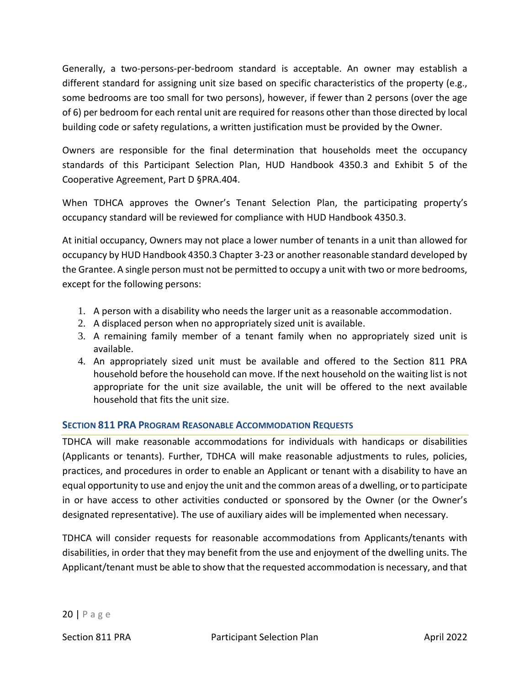Generally, a two-persons-per-bedroom standard is acceptable. An owner may establish a different standard for assigning unit size based on specific characteristics of the property (e.g., some bedrooms are too small for two persons), however, if fewer than 2 persons (over the age of 6) per bedroom for each rental unit are required for reasons other than those directed by local building code or safety regulations, a written justification must be provided by the Owner.

Owners are responsible for the final determination that households meet the occupancy standards of this Participant Selection Plan, HUD Handbook 4350.3 and Exhibit 5 of the Cooperative Agreement, Part D §PRA.404.

When TDHCA approves the Owner's Tenant Selection Plan, the participating property's occupancy standard will be reviewed for compliance with HUD Handbook 4350.3.

At initial occupancy, Owners may not place a lower number of tenants in a unit than allowed for occupancy by HUD Handbook 4350.3 Chapter 3-23 or another reasonable standard developed by the Grantee. A single person must not be permitted to occupy a unit with two or more bedrooms, except for the following persons:

- 1. A person with a disability who needs the larger unit as a reasonable accommodation.
- 2. A displaced person when no appropriately sized unit is available.
- 3. A remaining family member of a tenant family when no appropriately sized unit is available.
- 4. An appropriately sized unit must be available and offered to the Section 811 PRA household before the household can move. If the next household on the waiting list is not appropriate for the unit size available, the unit will be offered to the next available household that fits the unit size.

### **SECTION 811 PRA PROGRAM REASONABLE ACCOMMODATION REQUESTS**

TDHCA will make reasonable accommodations for individuals with handicaps or disabilities (Applicants or tenants). Further, TDHCA will make reasonable adjustments to rules, policies, practices, and procedures in order to enable an Applicant or tenant with a disability to have an equal opportunity to use and enjoy the unit and the common areas of a dwelling, or to participate in or have access to other activities conducted or sponsored by the Owner (or the Owner's designated representative). The use of auxiliary aides will be implemented when necessary.

TDHCA will consider requests for reasonable accommodations from Applicants/tenants with disabilities, in order that they may benefit from the use and enjoyment of the dwelling units. The Applicant/tenant must be able to show that the requested accommodation is necessary, and that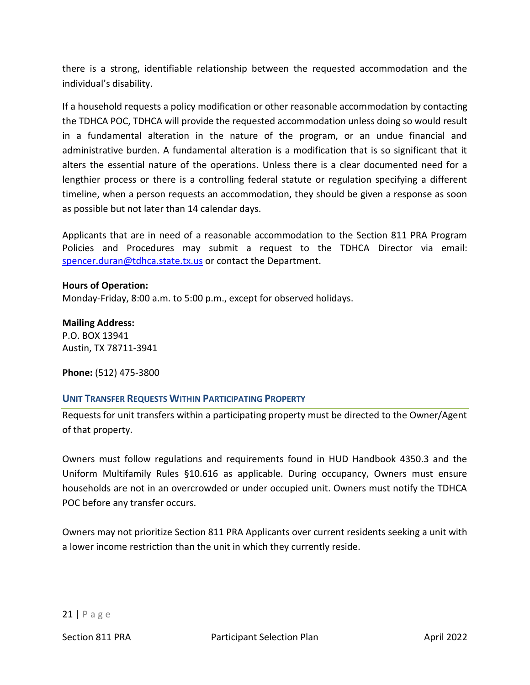there is a strong, identifiable relationship between the requested accommodation and the individual's disability.

If a household requests a policy modification or other reasonable accommodation by contacting the TDHCA POC, TDHCA will provide the requested accommodation unless doing so would result in a fundamental alteration in the nature of the program, or an undue financial and administrative burden. A fundamental alteration is a modification that is so significant that it alters the essential nature of the operations. Unless there is a clear documented need for a lengthier process or there is a controlling federal statute or regulation specifying a different timeline, when a person requests an accommodation, they should be given a response as soon as possible but not later than 14 calendar days.

Applicants that are in need of a reasonable accommodation to the Section 811 PRA Program Policies and Procedures may submit a request to the TDHCA Director via email: [spencer.duran@tdhca.state.tx.us](mailto:spencer.duran@tdhca.state.tx.us) or contact the Department.

#### **Hours of Operation:**

Monday-Friday, 8:00 a.m. to 5:00 p.m., except for observed holidays.

**Mailing Address:**  P.O. BOX 13941 Austin, TX 78711-3941

**Phone:** (512) 475-3800

#### **UNIT TRANSFER REQUESTS WITHIN PARTICIPATING PROPERTY**

Requests for unit transfers within a participating property must be directed to the Owner/Agent of that property.

Owners must follow regulations and requirements found in HUD Handbook 4350.3 and the Uniform Multifamily Rules §10.616 as applicable. During occupancy, Owners must ensure households are not in an overcrowded or under occupied unit. Owners must notify the TDHCA POC before any transfer occurs.

Owners may not prioritize Section 811 PRA Applicants over current residents seeking a unit with a lower income restriction than the unit in which they currently reside.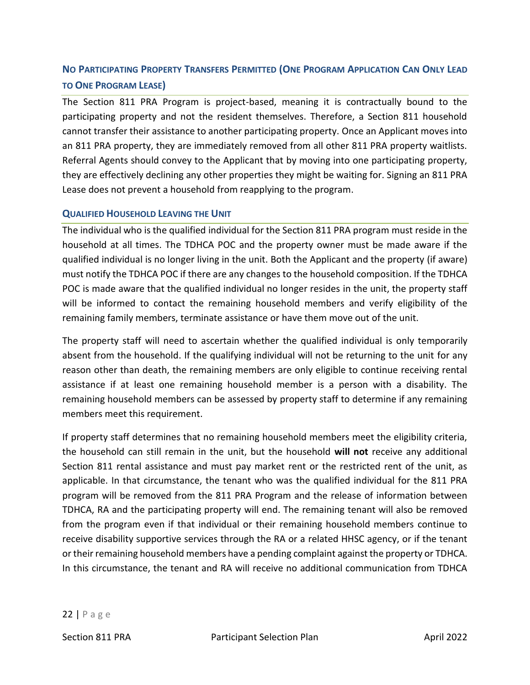# NO PARTICIPATING PROPERTY TRANSFERS PERMITTED (ONE PROGRAM APPLICATION CAN ONLY LEAD **TO ONE PROGRAM LEASE)**

The Section 811 PRA Program is project-based, meaning it is contractually bound to the participating property and not the resident themselves. Therefore, a Section 811 household cannot transfer their assistance to another participating property. Once an Applicant moves into an 811 PRA property, they are immediately removed from all other 811 PRA property waitlists. Referral Agents should convey to the Applicant that by moving into one participating property, they are effectively declining any other properties they might be waiting for. Signing an 811 PRA Lease does not prevent a household from reapplying to the program.

### **QUALIFIED HOUSEHOLD LEAVING THE UNIT**

The individual who is the qualified individual for the Section 811 PRA program must reside in the household at all times. The TDHCA POC and the property owner must be made aware if the qualified individual is no longer living in the unit. Both the Applicant and the property (if aware) must notify the TDHCA POC if there are any changes to the household composition. If the TDHCA POC is made aware that the qualified individual no longer resides in the unit, the property staff will be informed to contact the remaining household members and verify eligibility of the remaining family members, terminate assistance or have them move out of the unit.

The property staff will need to ascertain whether the qualified individual is only temporarily absent from the household. If the qualifying individual will not be returning to the unit for any reason other than death, the remaining members are only eligible to continue receiving rental assistance if at least one remaining household member is a person with a disability. The remaining household members can be assessed by property staff to determine if any remaining members meet this requirement.

If property staff determines that no remaining household members meet the eligibility criteria, the household can still remain in the unit, but the household **will not** receive any additional Section 811 rental assistance and must pay market rent or the restricted rent of the unit, as applicable. In that circumstance, the tenant who was the qualified individual for the 811 PRA program will be removed from the 811 PRA Program and the release of information between TDHCA, RA and the participating property will end. The remaining tenant will also be removed from the program even if that individual or their remaining household members continue to receive disability supportive services through the RA or a related HHSC agency, or if the tenant or their remaining household members have a pending complaint against the property or TDHCA. In this circumstance, the tenant and RA will receive no additional communication from TDHCA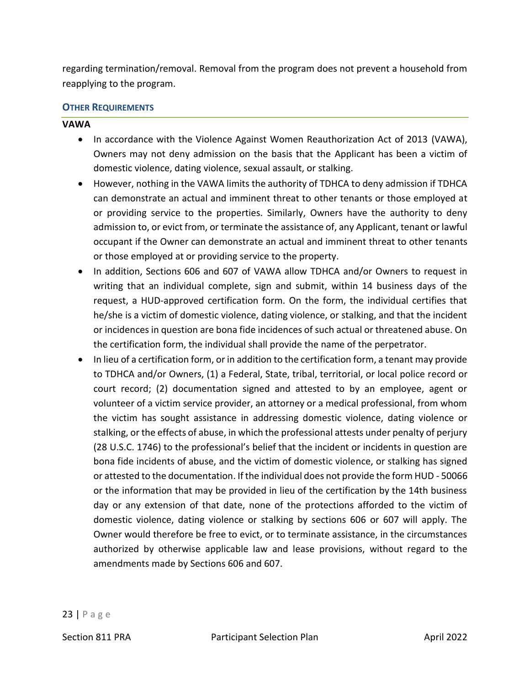regarding termination/removal. Removal from the program does not prevent a household from reapplying to the program.

#### **OTHER REQUIREMENTS**

#### **VAWA**

- In accordance with the Violence Against Women Reauthorization Act of 2013 (VAWA), Owners may not deny admission on the basis that the Applicant has been a victim of domestic violence, dating violence, sexual assault, or stalking.
- However, nothing in the VAWA limits the authority of TDHCA to deny admission if TDHCA can demonstrate an actual and imminent threat to other tenants or those employed at or providing service to the properties. Similarly, Owners have the authority to deny admission to, or evict from, or terminate the assistance of, any Applicant, tenant or lawful occupant if the Owner can demonstrate an actual and imminent threat to other tenants or those employed at or providing service to the property.
- In addition, Sections 606 and 607 of VAWA allow TDHCA and/or Owners to request in writing that an individual complete, sign and submit, within 14 business days of the request, a HUD-approved certification form. On the form, the individual certifies that he/she is a victim of domestic violence, dating violence, or stalking, and that the incident or incidences in question are bona fide incidences of such actual or threatened abuse. On the certification form, the individual shall provide the name of the perpetrator.
- In lieu of a certification form, or in addition to the certification form, a tenant may provide to TDHCA and/or Owners, (1) a Federal, State, tribal, territorial, or local police record or court record; (2) documentation signed and attested to by an employee, agent or volunteer of a victim service provider, an attorney or a medical professional, from whom the victim has sought assistance in addressing domestic violence, dating violence or stalking, or the effects of abuse, in which the professional attests under penalty of perjury (28 U.S.C. 1746) to the professional's belief that the incident or incidents in question are bona fide incidents of abuse, and the victim of domestic violence, or stalking has signed or attested to the documentation. If the individual does not provide the form HUD - 50066 or the information that may be provided in lieu of the certification by the 14th business day or any extension of that date, none of the protections afforded to the victim of domestic violence, dating violence or stalking by sections 606 or 607 will apply. The Owner would therefore be free to evict, or to terminate assistance, in the circumstances authorized by otherwise applicable law and lease provisions, without regard to the amendments made by Sections 606 and 607.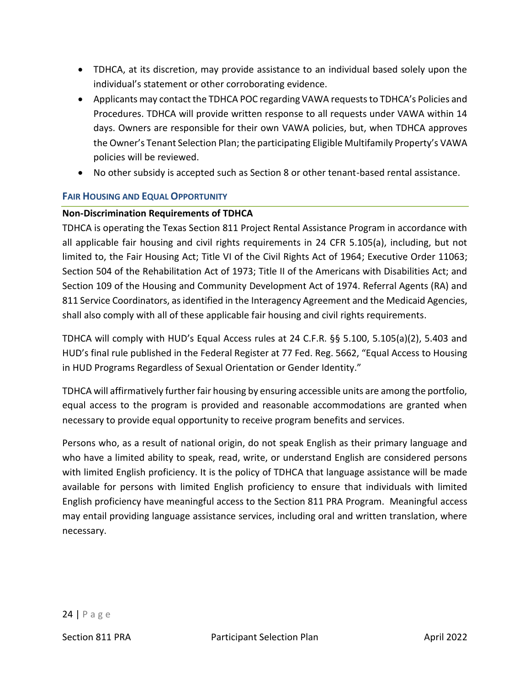- TDHCA, at its discretion, may provide assistance to an individual based solely upon the individual's statement or other corroborating evidence.
- Applicants may contact the TDHCA POC regarding VAWA requests to TDHCA's Policies and Procedures. TDHCA will provide written response to all requests under VAWA within 14 days. Owners are responsible for their own VAWA policies, but, when TDHCA approves the Owner's Tenant Selection Plan; the participating Eligible Multifamily Property's VAWA policies will be reviewed.
- No other subsidy is accepted such as Section 8 or other tenant-based rental assistance.

### **FAIR HOUSING AND EQUAL OPPORTUNITY**

### **Non-Discrimination Requirements of TDHCA**

TDHCA is operating the Texas Section 811 Project Rental Assistance Program in accordance with all applicable fair housing and civil rights requirements in 24 CFR 5.105(a), including, but not limited to, the Fair Housing Act; Title VI of the Civil Rights Act of 1964; Executive Order 11063; Section 504 of the Rehabilitation Act of 1973; Title II of the Americans with Disabilities Act; and Section 109 of the Housing and Community Development Act of 1974. Referral Agents (RA) and 811 Service Coordinators, as identified in the Interagency Agreement and the Medicaid Agencies, shall also comply with all of these applicable fair housing and civil rights requirements.

TDHCA will comply with HUD's Equal Access rules at 24 C.F.R. §§ 5.100, 5.105(a)(2), 5.403 and HUD's final rule published in the Federal Register at 77 Fed. Reg. 5662, "Equal Access to Housing in HUD Programs Regardless of Sexual Orientation or Gender Identity."

TDHCA will affirmatively further fair housing by ensuring accessible units are among the portfolio, equal access to the program is provided and reasonable accommodations are granted when necessary to provide equal opportunity to receive program benefits and services.

Persons who, as a result of national origin, do not speak English as their primary language and who have a limited ability to speak, read, write, or understand English are considered persons with limited English proficiency. It is the policy of TDHCA that language assistance will be made available for persons with limited English proficiency to ensure that individuals with limited English proficiency have meaningful access to the Section 811 PRA Program. Meaningful access may entail providing language assistance services, including oral and written translation, where necessary.